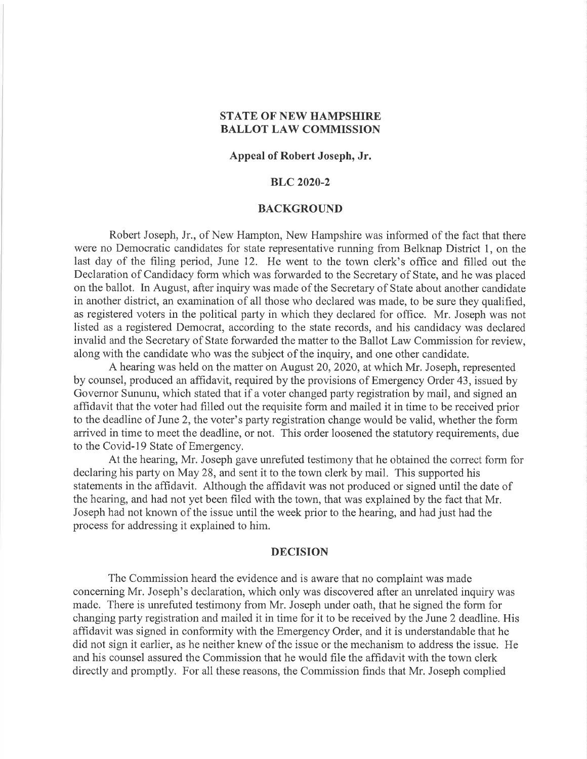## STATE OF NEW HAMPSHIRE BALLOT LAW COMMISSION

## Appeal of Robert Joseph, Jr.

# BLC 2020-2

### BACKGROUND

Robert Joseph, Jr., of New Hampton, New Hampshire was informed of the fact that there were no Democratic candidates for state representative running from Belknap District 1, on the last day of the filing period, June 12. He went to the town clerk's office and filled out the Declaration of Candidacy form which was forwarded to the Secretary of State, and he was placed on the ballot. In August, after inquiry was made of the Secretary of State about another candidate in another district, an examination of all those who declared was made, to be sure they qualified, as registered voters in the political party in which they declared for office. Mr. Joseph was not listed as a registered Democrat, according to the state records, and his candidacy was declared invalid and the Secretary of State forwarded the matter to the Ballot Law Commission for review, along with the candidate who was the subject of the inquiry, and one other candidate.

A hearing was held on the matter on August 20,2020, at which Mr. Joseph, represented by counsel, produced an affidavit, required by the provisions of Emergency Order 43, issued by Governor Sununu, which stated that if a voter changed party registration by mail, and signed an affidavit that the voter had filled out the requisite form and mailed it in time to be received prior to the deadline of June 2, the voter's party registration change would be valid, whether the form arrived in time to meet the deadline, or not. This order loosened the statutory requirements, due to the Covid-l9 State of Emergency.

At the hearing, Mr. Joseph gave unrefuted testimony that he obtained the correct form for declaring his party on May 28, and sent it to the town clerk by mail. This supported his statements in the affidavit. Although the affidavit was not produced or signed until the date of the hearing, and had not yet been filed with the town, that was explained by the fact that Mr. Joseph had not known of the issue until the week prior to the hearing, and had just had the process for addressing it explained to him.

#### DECISION

The Commission heard the evidence and is aware that no complaint was made concerning Mr. Joseph's declaration, which only was discovered after an unrelated inquiry was made. There is unrefuted testimony from Mr. Joseph under oath, that he signed the form for changing party registration and mailed it in time for it to be received by the June 2 deadline. His affidavit was signed in conformity with the Emergency Order, and it is understandable that he did not sign it earlier, as he neither knew of the issue or the mechanism to address the issue. He and his counsel assured the Commission that he would file the affidavit with the town clerk directly and promptly. For all these reasons, the Commission finds that Mr. Joseph complied